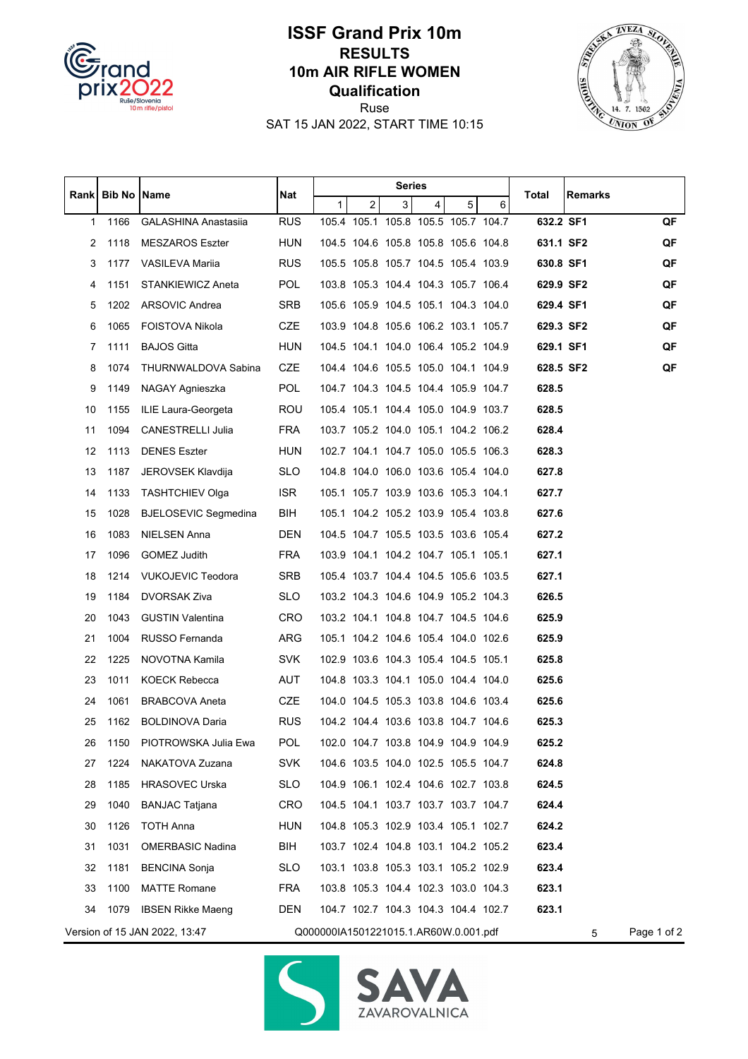

## **ISSF Grand Prix 10m RESULTS 10m AIR RIFLE WOMEN Qualification**



Ruse SAT 15 JAN 2022, START TIME 10:15

|                                                                             | Rank Bib No Name |                             |            |              |                | Series         |                                     |   |             |           |         |    |
|-----------------------------------------------------------------------------|------------------|-----------------------------|------------|--------------|----------------|----------------|-------------------------------------|---|-------------|-----------|---------|----|
|                                                                             |                  |                             | Nat        | $\mathbf{1}$ | $\overline{2}$ | $\overline{3}$ | $\overline{4}$                      | 5 | 6           | Total     | Remarks |    |
| 1                                                                           | 1166             | <b>GALASHINA Anastasiia</b> | <b>RUS</b> |              |                |                | 105.4 105.1 105.8 105.5 105.7 104.7 |   |             | 632.2 SF1 |         | QF |
| 2                                                                           | 1118             | <b>MESZAROS Eszter</b>      | <b>HUN</b> |              |                |                | 104.5 104.6 105.8 105.8 105.6 104.8 |   |             | 631.1 SF2 |         | QF |
| 3                                                                           | 1177             | VASILEVA Mariia             | <b>RUS</b> |              |                |                | 105.5 105.8 105.7 104.5 105.4 103.9 |   |             | 630.8 SF1 |         | QF |
| 4                                                                           | 1151             | STANKIEWICZ Aneta           | <b>POL</b> |              |                |                | 103.8 105.3 104.4 104.3 105.7 106.4 |   |             | 629.9 SF2 |         | QF |
| 5                                                                           | 1202             | ARSOVIC Andrea              | SRB        |              |                |                | 105.6 105.9 104.5 105.1 104.3 104.0 |   |             | 629.4 SF1 |         | QF |
| 6                                                                           | 1065             | <b>FOISTOVA Nikola</b>      | <b>CZE</b> |              |                |                | 103.9 104.8 105.6 106.2 103.1 105.7 |   |             | 629.3 SF2 |         | QF |
| 7                                                                           | 1111             | <b>BAJOS Gitta</b>          | <b>HUN</b> |              |                |                | 104.5 104.1 104.0 106.4 105.2 104.9 |   |             | 629.1 SF1 |         | QF |
| 8                                                                           | 1074             | THURNWALDOVA Sabina         | <b>CZE</b> |              |                |                | 104.4 104.6 105.5 105.0 104.1 104.9 |   |             | 628.5 SF2 |         | QF |
| 9                                                                           | 1149             | NAGAY Agnieszka             | <b>POL</b> |              |                |                | 104.7 104.3 104.5 104.4 105.9 104.7 |   |             | 628.5     |         |    |
| 10                                                                          | 1155             | ILIE Laura-Georgeta         | ROU        |              |                |                | 105.4 105.1 104.4 105.0 104.9 103.7 |   |             | 628.5     |         |    |
| 11                                                                          | 1094             | <b>CANESTRELLI Julia</b>    | <b>FRA</b> |              |                |                | 103.7 105.2 104.0 105.1 104.2 106.2 |   |             | 628.4     |         |    |
| 12                                                                          | 1113             | <b>DENES Eszter</b>         | HUN        |              |                |                | 102.7 104.1 104.7 105.0 105.5 106.3 |   |             | 628.3     |         |    |
| 13                                                                          | 1187             | JEROVSEK Klavdija           | <b>SLO</b> |              |                |                | 104.8 104.0 106.0 103.6 105.4 104.0 |   |             | 627.8     |         |    |
| 14                                                                          | 1133             | <b>TASHTCHIEV Olga</b>      | <b>ISR</b> |              |                |                | 105.1 105.7 103.9 103.6 105.3 104.1 |   |             | 627.7     |         |    |
| 15                                                                          | 1028             | <b>BJELOSEVIC Segmedina</b> | BIH        |              |                |                | 105.1 104.2 105.2 103.9 105.4 103.8 |   |             | 627.6     |         |    |
| 16                                                                          | 1083             | NIELSEN Anna                | DEN        |              |                |                | 104.5 104.7 105.5 103.5 103.6 105.4 |   |             | 627.2     |         |    |
| 17                                                                          | 1096             | GOMEZ Judith                | <b>FRA</b> |              |                |                | 103.9 104.1 104.2 104.7 105.1 105.1 |   |             | 627.1     |         |    |
| 18                                                                          | 1214             | VUKOJEVIC Teodora           | <b>SRB</b> |              |                |                | 105.4 103.7 104.4 104.5 105.6 103.5 |   |             | 627.1     |         |    |
| 19                                                                          | 1184             | <b>DVORSAK Ziva</b>         | <b>SLO</b> |              |                |                | 103.2 104.3 104.6 104.9 105.2 104.3 |   |             | 626.5     |         |    |
| 20                                                                          | 1043             | <b>GUSTIN Valentina</b>     | <b>CRO</b> |              |                |                | 103.2 104.1 104.8 104.7 104.5 104.6 |   |             | 625.9     |         |    |
| 21                                                                          | 1004             | RUSSO Fernanda              | ARG        |              |                |                | 105.1 104.2 104.6 105.4 104.0 102.6 |   |             | 625.9     |         |    |
| 22                                                                          | 1225             | NOVOTNA Kamila              | <b>SVK</b> |              |                |                | 102.9 103.6 104.3 105.4 104.5 105.1 |   |             | 625.8     |         |    |
| 23                                                                          | 1011             | KOECK Rebecca               | AUT        |              |                |                | 104.8 103.3 104.1 105.0 104.4 104.0 |   |             | 625.6     |         |    |
| 24                                                                          | 1061             | <b>BRABCOVA Aneta</b>       | <b>CZE</b> |              |                |                | 104.0 104.5 105.3 103.8 104.6 103.4 |   |             | 625.6     |         |    |
| 25                                                                          | 1162             | <b>BOLDINOVA Daria</b>      | <b>RUS</b> |              |                |                | 104.2 104.4 103.6 103.8 104.7 104.6 |   |             | 625.3     |         |    |
| 26                                                                          | 1150             | PIOTROWSKA Julia Ewa        | POL        |              |                |                | 102.0 104.7 103.8 104.9 104.9 104.9 |   |             | 625.2     |         |    |
| 27                                                                          | 1224             | NAKATOVA Zuzana             | <b>SVK</b> |              |                |                | 104.6 103.5 104.0 102.5 105.5 104.7 |   |             | 624.8     |         |    |
| 28                                                                          | 1185             | <b>HRASOVEC Urska</b>       | <b>SLO</b> |              |                |                | 104.9 106.1 102.4 104.6 102.7 103.8 |   |             | 624.5     |         |    |
| 29                                                                          | 1040             | <b>BANJAC Tatjana</b>       | CRO        |              |                |                | 104.5 104.1 103.7 103.7 103.7 104.7 |   |             | 624.4     |         |    |
| 30                                                                          | 1126             | TOTH Anna                   | <b>HUN</b> |              |                |                | 104.8 105.3 102.9 103.4 105.1 102.7 |   |             | 624.2     |         |    |
| 31                                                                          | 1031             | <b>OMERBASIC Nadina</b>     | BIH        |              |                |                | 103.7 102.4 104.8 103.1 104.2 105.2 |   |             | 623.4     |         |    |
| 32                                                                          | 1181             | <b>BENCINA Sonja</b>        | <b>SLO</b> |              |                |                | 103.1 103.8 105.3 103.1 105.2 102.9 |   |             | 623.4     |         |    |
| 33                                                                          | 1100             | <b>MATTE Romane</b>         | <b>FRA</b> |              |                |                | 103.8 105.3 104.4 102.3 103.0 104.3 |   |             | 623.1     |         |    |
| 34                                                                          | 1079             | <b>IBSEN Rikke Maeng</b>    | DEN        |              |                |                | 104.7 102.7 104.3 104.3 104.4 102.7 |   |             | 623.1     |         |    |
| Q000000IA1501221015.1.AR60W.0.001.pdf<br>Version of 15 JAN 2022, 13:47<br>5 |                  |                             |            |              |                |                |                                     |   | Page 1 of 2 |           |         |    |



Δ